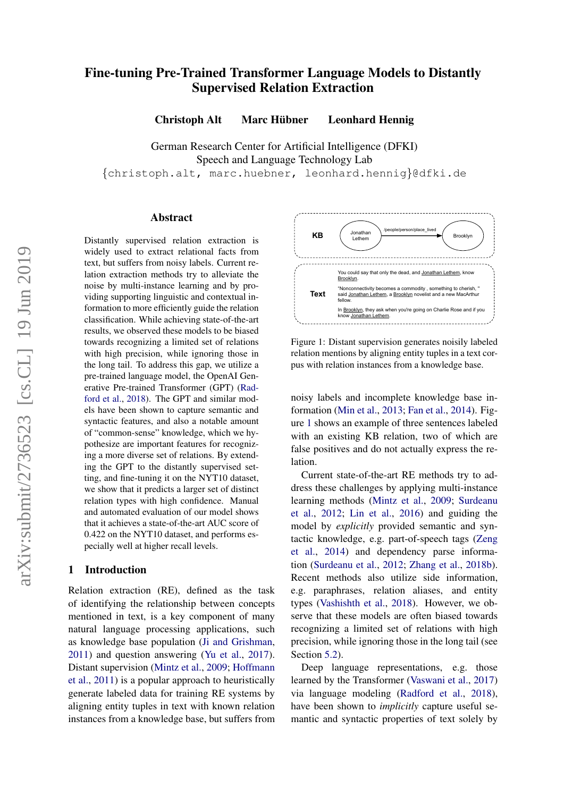# Fine-tuning Pre-Trained Transformer Language Models to Distantly Supervised Relation Extraction

Christoph Alt Marc Hübner Leonhard Hennig

German Research Center for Artificial Intelligence (DFKI) Speech and Language Technology Lab

{christoph.alt, marc.huebner, leonhard.hennig}@dfki.de

#### Abstract

Distantly supervised relation extraction is widely used to extract relational facts from text, but suffers from noisy labels. Current relation extraction methods try to alleviate the noise by multi-instance learning and by providing supporting linguistic and contextual information to more efficiently guide the relation classification. While achieving state-of-the-art results, we observed these models to be biased towards recognizing a limited set of relations with high precision, while ignoring those in the long tail. To address this gap, we utilize a pre-trained language model, the OpenAI Generative Pre-trained Transformer (GPT) [\(Rad](#page-9-0)[ford et al.,](#page-9-0) [2018\)](#page-9-0). The GPT and similar models have been shown to capture semantic and syntactic features, and also a notable amount of "common-sense" knowledge, which we hypothesize are important features for recognizing a more diverse set of relations. By extending the GPT to the distantly supervised setting, and fine-tuning it on the NYT10 dataset, we show that it predicts a larger set of distinct relation types with high confidence. Manual and automated evaluation of our model shows that it achieves a state-of-the-art AUC score of 0.422 on the NYT10 dataset, and performs especially well at higher recall levels.

### 1 Introduction

Relation extraction (RE), defined as the task of identifying the relationship between concepts mentioned in text, is a key component of many natural language processing applications, such as knowledge base population [\(Ji and Grishman,](#page-8-0) [2011\)](#page-8-0) and question answering [\(Yu et al.,](#page-9-1) [2017\)](#page-9-1). Distant supervision [\(Mintz et al.,](#page-8-1) [2009;](#page-8-1) [Hoffmann](#page-8-2) [et al.,](#page-8-2) [2011\)](#page-8-2) is a popular approach to heuristically generate labeled data for training RE systems by aligning entity tuples in text with known relation instances from a knowledge base, but suffers from

<span id="page-0-0"></span>

Figure 1: Distant supervision generates noisily labeled relation mentions by aligning entity tuples in a text corpus with relation instances from a knowledge base.

noisy labels and incomplete knowledge base information [\(Min et al.,](#page-8-3) [2013;](#page-8-3) [Fan et al.,](#page-8-4) [2014\)](#page-8-4). Figure [1](#page-0-0) shows an example of three sentences labeled with an existing KB relation, two of which are false positives and do not actually express the relation.

Current state-of-the-art RE methods try to address these challenges by applying multi-instance learning methods [\(Mintz et al.,](#page-8-1) [2009;](#page-8-1) [Surdeanu](#page-9-2) [et al.,](#page-9-2) [2012;](#page-9-2) [Lin et al.,](#page-8-5) [2016\)](#page-8-5) and guiding the model by *explicitly* provided semantic and syntactic knowledge, e.g. part-of-speech tags [\(Zeng](#page-10-0) [et al.,](#page-10-0) [2014\)](#page-10-0) and dependency parse information [\(Surdeanu et al.,](#page-9-2) [2012;](#page-9-2) [Zhang et al.,](#page-10-1) [2018b\)](#page-10-1). Recent methods also utilize side information, e.g. paraphrases, relation aliases, and entity types [\(Vashishth et al.,](#page-9-3) [2018\)](#page-9-3). However, we observe that these models are often biased towards recognizing a limited set of relations with high precision, while ignoring those in the long tail (see Section [5.2\)](#page-5-0).

Deep language representations, e.g. those learned by the Transformer [\(Vaswani et al.,](#page-9-4) [2017\)](#page-9-4) via language modeling [\(Radford et al.,](#page-9-0) [2018\)](#page-9-0), have been shown to *implicitly* capture useful semantic and syntactic properties of text solely by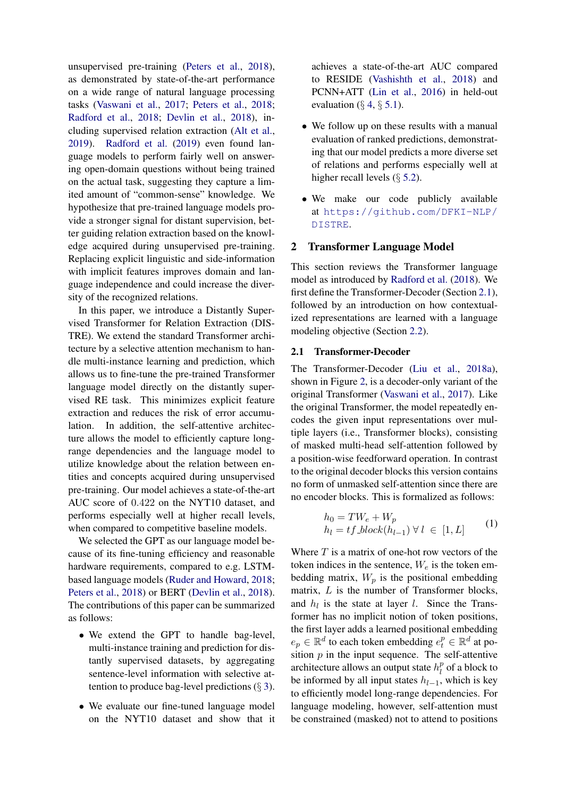unsupervised pre-training [\(Peters et al.,](#page-9-5) [2018\)](#page-9-5), as demonstrated by state-of-the-art performance on a wide range of natural language processing tasks [\(Vaswani et al.,](#page-9-4) [2017;](#page-9-4) [Peters et al.,](#page-9-5) [2018;](#page-9-5) [Radford et al.,](#page-9-0) [2018;](#page-9-0) [Devlin et al.,](#page-8-6) [2018\)](#page-8-6), including supervised relation extraction [\(Alt et al.,](#page-8-7) [2019\)](#page-8-7). [Radford et al.](#page-9-6) [\(2019\)](#page-9-6) even found language models to perform fairly well on answering open-domain questions without being trained on the actual task, suggesting they capture a limited amount of "common-sense" knowledge. We hypothesize that pre-trained language models provide a stronger signal for distant supervision, better guiding relation extraction based on the knowledge acquired during unsupervised pre-training. Replacing explicit linguistic and side-information with implicit features improves domain and language independence and could increase the diversity of the recognized relations.

In this paper, we introduce a Distantly Supervised Transformer for Relation Extraction (DIS-TRE). We extend the standard Transformer architecture by a selective attention mechanism to handle multi-instance learning and prediction, which allows us to fine-tune the pre-trained Transformer language model directly on the distantly supervised RE task. This minimizes explicit feature extraction and reduces the risk of error accumulation. In addition, the self-attentive architecture allows the model to efficiently capture longrange dependencies and the language model to utilize knowledge about the relation between entities and concepts acquired during unsupervised pre-training. Our model achieves a state-of-the-art AUC score of 0.422 on the NYT10 dataset, and performs especially well at higher recall levels, when compared to competitive baseline models.

We selected the GPT as our language model because of its fine-tuning efficiency and reasonable hardware requirements, compared to e.g. LSTMbased language models [\(Ruder and Howard,](#page-9-7) [2018;](#page-9-7) [Peters et al.,](#page-9-5) [2018\)](#page-9-5) or BERT [\(Devlin et al.,](#page-8-6) [2018\)](#page-8-6). The contributions of this paper can be summarized as follows:

- We extend the GPT to handle bag-level, multi-instance training and prediction for distantly supervised datasets, by aggregating sentence-level information with selective attention to produce bag-level predictions  $(\S 3)$  $(\S 3)$ .
- We evaluate our fine-tuned language model on the NYT10 dataset and show that it

achieves a state-of-the-art AUC compared to RESIDE [\(Vashishth et al.,](#page-9-3) [2018\)](#page-9-3) and PCNN+ATT [\(Lin et al.,](#page-8-5) [2016\)](#page-8-5) in held-out evaluation  $(\S 4, \S 5.1)$  $(\S 4, \S 5.1)$  $(\S 4, \S 5.1)$  $(\S 4, \S 5.1)$ .

- We follow up on these results with a manual evaluation of ranked predictions, demonstrating that our model predicts a more diverse set of relations and performs especially well at higher recall levels  $(\S 5.2)$  $(\S 5.2)$ .
- We make our code publicly available at [https://github.com/DFKI-NLP/](https://github.com/DFKI-NLP/DISTRE) [DISTRE](https://github.com/DFKI-NLP/DISTRE).

### 2 Transformer Language Model

This section reviews the Transformer language model as introduced by [Radford et al.](#page-9-0) [\(2018\)](#page-9-0). We first define the Transformer-Decoder (Section [2.1\)](#page-1-0), followed by an introduction on how contextualized representations are learned with a language modeling objective (Section [2.2\)](#page-2-1).

### <span id="page-1-0"></span>2.1 Transformer-Decoder

The Transformer-Decoder [\(Liu et al.,](#page-8-8) [2018a\)](#page-8-8), shown in Figure [2,](#page-2-2) is a decoder-only variant of the original Transformer [\(Vaswani et al.,](#page-9-4) [2017\)](#page-9-4). Like the original Transformer, the model repeatedly encodes the given input representations over multiple layers (i.e., Transformer blocks), consisting of masked multi-head self-attention followed by a position-wise feedforward operation. In contrast to the original decoder blocks this version contains no form of unmasked self-attention since there are no encoder blocks. This is formalized as follows:

$$
h_0 = TW_e + W_p
$$
  
\n
$$
h_l = tf\_block(h_{l-1}) \forall l \in [1, L]
$$
 (1)

Where  $T$  is a matrix of one-hot row vectors of the token indices in the sentence,  $W_e$  is the token embedding matrix,  $W_p$  is the positional embedding matrix,  $L$  is the number of Transformer blocks, and  $h_l$  is the state at layer l. Since the Transformer has no implicit notion of token positions, the first layer adds a learned positional embedding  $e_p \in \mathbb{R}^d$  to each token embedding  $e_t^p \in \mathbb{R}^d$  at position  $p$  in the input sequence. The self-attentive architecture allows an output state  $h_l^p$  $\int_l^p$  of a block to be informed by all input states  $h_{l-1}$ , which is key to efficiently model long-range dependencies. For language modeling, however, self-attention must be constrained (masked) not to attend to positions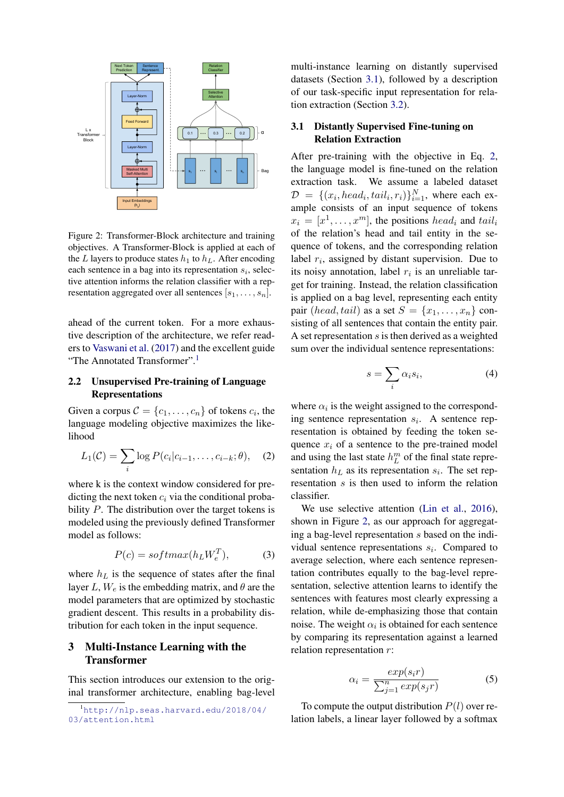<span id="page-2-2"></span>

Figure 2: Transformer-Block architecture and training objectives. A Transformer-Block is applied at each of the L layers to produce states  $h_1$  to  $h_L$ . After encoding each sentence in a bag into its representation  $s_i$ , selective attention informs the relation classifier with a representation aggregated over all sentences  $[s_1, \ldots, s_n]$ .

ahead of the current token. For a more exhaustive description of the architecture, we refer readers to [Vaswani et al.](#page-9-4) [\(2017\)](#page-9-4) and the excellent guide "The Annotated Transformer".[1](#page-2-3)

# <span id="page-2-1"></span>2.2 Unsupervised Pre-training of Language Representations

Given a corpus  $C = \{c_1, \ldots, c_n\}$  of tokens  $c_i$ , the language modeling objective maximizes the likelihood

<span id="page-2-5"></span>
$$
L_1(\mathcal{C}) = \sum_i \log P(c_i|c_{i-1},\ldots,c_{i-k};\theta), \quad (2)
$$

where k is the context window considered for predicting the next token  $c_i$  via the conditional probability  $P$ . The distribution over the target tokens is modeled using the previously defined Transformer model as follows:

$$
P(c) = softmax(h_L W_e^T), \tag{3}
$$

where  $h_L$  is the sequence of states after the final layer L,  $W_e$  is the embedding matrix, and  $\theta$  are the model parameters that are optimized by stochastic gradient descent. This results in a probability distribution for each token in the input sequence.

### <span id="page-2-0"></span>3 Multi-Instance Learning with the Transformer

This section introduces our extension to the original transformer architecture, enabling bag-level

multi-instance learning on distantly supervised datasets (Section [3.1\)](#page-2-4), followed by a description of our task-specific input representation for relation extraction (Section [3.2\)](#page-3-1).

### <span id="page-2-4"></span>3.1 Distantly Supervised Fine-tuning on Relation Extraction

After pre-training with the objective in Eq. [2,](#page-2-5) the language model is fine-tuned on the relation extraction task. We assume a labeled dataset  $\mathcal{D} = \{ (x_i, head_i, tail_i, r_i) \}_{i=1}^N$ , where each example consists of an input sequence of tokens  $x_i = [x^1, \dots, x^m]$ , the positions head<sub>i</sub> and tail<sub>i</sub> of the relation's head and tail entity in the sequence of tokens, and the corresponding relation label  $r_i$ , assigned by distant supervision. Due to its noisy annotation, label  $r_i$  is an unreliable target for training. Instead, the relation classification is applied on a bag level, representing each entity pair (head, tail) as a set  $S = \{x_1, \ldots, x_n\}$  consisting of all sentences that contain the entity pair. A set representation  $s$  is then derived as a weighted sum over the individual sentence representations:

$$
s = \sum_{i} \alpha_i s_i,\tag{4}
$$

where  $\alpha_i$  is the weight assigned to the corresponding sentence representation  $s_i$ . A sentence representation is obtained by feeding the token sequence  $x_i$  of a sentence to the pre-trained model and using the last state  $h_L^m$  of the final state representation  $h<sub>L</sub>$  as its representation  $s<sub>i</sub>$ . The set representation s is then used to inform the relation classifier.

We use selective attention [\(Lin et al.,](#page-8-5) [2016\)](#page-8-5), shown in Figure [2,](#page-2-2) as our approach for aggregating a bag-level representation s based on the individual sentence representations  $s_i$ . Compared to average selection, where each sentence representation contributes equally to the bag-level representation, selective attention learns to identify the sentences with features most clearly expressing a relation, while de-emphasizing those that contain noise. The weight  $\alpha_i$  is obtained for each sentence by comparing its representation against a learned relation representation r:

$$
\alpha_i = \frac{\exp(s_i r)}{\sum_{j=1}^n \exp(s_j r)}
$$
(5)

To compute the output distribution  $P(l)$  over relation labels, a linear layer followed by a softmax

<span id="page-2-3"></span><sup>1</sup>[http://nlp.seas.harvard.edu/2018/04/](http://nlp.seas.harvard.edu/2018/04/03/attention.html) [03/attention.html](http://nlp.seas.harvard.edu/2018/04/03/attention.html)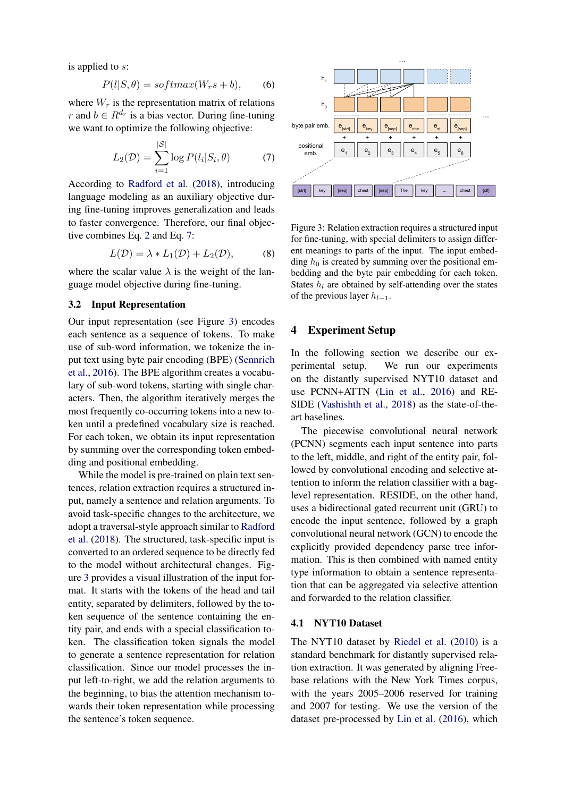is applied to s:

$$
P(l|S,\theta) = softmax(W_r s + b), \qquad (6)
$$

where  $W_r$  is the representation matrix of relations r and  $b \in R^{d_r}$  is a bias vector. During fine-tuning we want to optimize the following objective:

$$
L_2(\mathcal{D}) = \sum_{i=1}^{|\mathcal{S}|} \log P(l_i|S_i, \theta) \tag{7}
$$

According to [Radford et al.](#page-9-0) [\(2018\)](#page-9-0), introducing language modeling as an auxiliary objective during fine-tuning improves generalization and leads to faster convergence. Therefore, our final objective combines Eq. [2](#page-2-5) and Eq. [7:](#page-3-2)

$$
L(\mathcal{D}) = \lambda * L_1(\mathcal{D}) + L_2(\mathcal{D}), \tag{8}
$$

where the scalar value  $\lambda$  is the weight of the language model objective during fine-tuning.

### <span id="page-3-1"></span>3.2 Input Representation

Our input representation (see Figure [3\)](#page-3-3) encodes each sentence as a sequence of tokens. To make use of sub-word information, we tokenize the input text using byte pair encoding (BPE) [\(Sennrich](#page-9-8) [et al.,](#page-9-8) [2016\)](#page-9-8). The BPE algorithm creates a vocabulary of sub-word tokens, starting with single characters. Then, the algorithm iteratively merges the most frequently co-occurring tokens into a new token until a predefined vocabulary size is reached. For each token, we obtain its input representation by summing over the corresponding token embedding and positional embedding.

While the model is pre-trained on plain text sentences, relation extraction requires a structured input, namely a sentence and relation arguments. To avoid task-specific changes to the architecture, we adopt a traversal-style approach similar to [Radford](#page-9-0) [et al.](#page-9-0) [\(2018\)](#page-9-0). The structured, task-specific input is converted to an ordered sequence to be directly fed to the model without architectural changes. Figure [3](#page-3-3) provides a visual illustration of the input format. It starts with the tokens of the head and tail entity, separated by delimiters, followed by the token sequence of the sentence containing the entity pair, and ends with a special classification token. The classification token signals the model to generate a sentence representation for relation classification. Since our model processes the input left-to-right, we add the relation arguments to the beginning, to bias the attention mechanism towards their token representation while processing the sentence's token sequence.

<span id="page-3-3"></span><span id="page-3-2"></span>

Figure 3: Relation extraction requires a structured input for fine-tuning, with special delimiters to assign different meanings to parts of the input. The input embedding  $h_0$  is created by summing over the positional embedding and the byte pair embedding for each token. States  $h_l$  are obtained by self-attending over the states of the previous layer  $h_{l-1}$ .

### <span id="page-3-0"></span>4 Experiment Setup

In the following section we describe our experimental setup. We run our experiments on the distantly supervised NYT10 dataset and use PCNN+ATTN [\(Lin et al.,](#page-8-5) [2016\)](#page-8-5) and RE-SIDE [\(Vashishth et al.,](#page-9-3) [2018\)](#page-9-3) as the state-of-theart baselines.

The piecewise convolutional neural network (PCNN) segments each input sentence into parts to the left, middle, and right of the entity pair, followed by convolutional encoding and selective attention to inform the relation classifier with a baglevel representation. RESIDE, on the other hand, uses a bidirectional gated recurrent unit (GRU) to encode the input sentence, followed by a graph convolutional neural network (GCN) to encode the explicitly provided dependency parse tree information. This is then combined with named entity type information to obtain a sentence representation that can be aggregated via selective attention and forwarded to the relation classifier.

#### 4.1 NYT10 Dataset

The NYT10 dataset by [Riedel et al.](#page-9-9) [\(2010\)](#page-9-9) is a standard benchmark for distantly supervised relation extraction. It was generated by aligning Freebase relations with the New York Times corpus, with the years 2005–2006 reserved for training and 2007 for testing. We use the version of the dataset pre-processed by [Lin et al.](#page-8-5) [\(2016\)](#page-8-5), which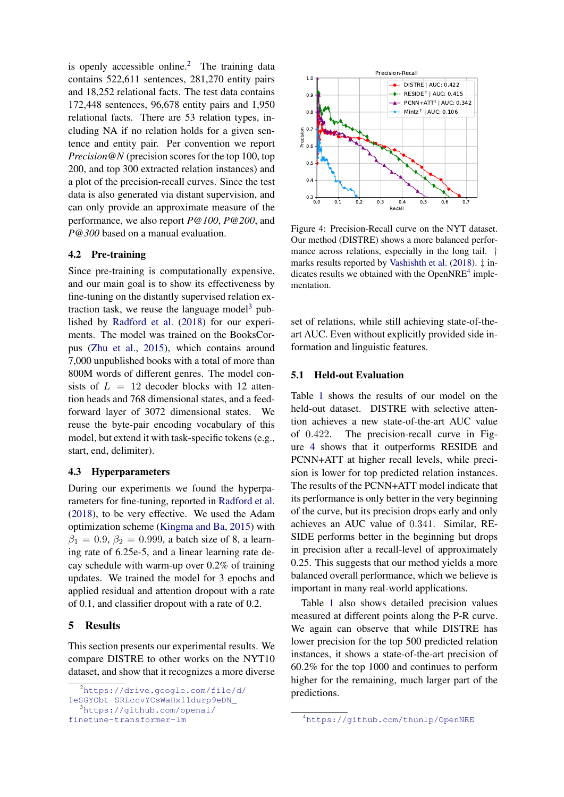is openly accessible online.<sup>[2](#page-4-1)</sup> The training data contains 522,611 sentences, 281,270 entity pairs and 18,252 relational facts. The test data contains 172,448 sentences, 96,678 entity pairs and 1,950 relational facts. There are 53 relation types, including NA if no relation holds for a given sentence and entity pair. Per convention we report *Precision@N* (precision scores for the top 100, top 200, and top 300 extracted relation instances) and a plot of the precision-recall curves. Since the test data is also generated via distant supervision, and can only provide an approximate measure of the performance, we also report *P@100*, *P@200*, and *P@300* based on a manual evaluation.

### 4.2 Pre-training

Since pre-training is computationally expensive, and our main goal is to show its effectiveness by fine-tuning on the distantly supervised relation ex-traction task, we reuse the language model<sup>[3](#page-4-2)</sup> published by [Radford et al.](#page-9-0) [\(2018\)](#page-9-0) for our experiments. The model was trained on the BooksCorpus [\(Zhu et al.,](#page-10-2) [2015\)](#page-10-2), which contains around 7,000 unpublished books with a total of more than 800M words of different genres. The model consists of  $L = 12$  decoder blocks with 12 attention heads and 768 dimensional states, and a feedforward layer of 3072 dimensional states. We reuse the byte-pair encoding vocabulary of this model, but extend it with task-specific tokens (e.g., start, end, delimiter).

### 4.3 Hyperparameters

During our experiments we found the hyperparameters for fine-tuning, reported in [Radford et al.](#page-9-0) [\(2018\)](#page-9-0), to be very effective. We used the Adam optimization scheme [\(Kingma and Ba,](#page-8-9) [2015\)](#page-8-9) with  $\beta_1 = 0.9, \beta_2 = 0.999$ , a batch size of 8, a learning rate of 6.25e-5, and a linear learning rate decay schedule with warm-up over 0.2% of training updates. We trained the model for 3 epochs and applied residual and attention dropout with a rate of 0.1, and classifier dropout with a rate of 0.2.

### 5 Results

This section presents our experimental results. We compare DISTRE to other works on the NYT10 dataset, and show that it recognizes a more diverse

<span id="page-4-4"></span>

Figure 4: Precision-Recall curve on the NYT dataset. Our method (DISTRE) shows a more balanced performance across relations, especially in the long tail. † marks results reported by [Vashishth et al.](#page-9-3) [\(2018\)](#page-9-3). ‡ indicates results we obtained with the OpenNRE $4$  implementation.

set of relations, while still achieving state-of-theart AUC. Even without explicitly provided side information and linguistic features.

### <span id="page-4-0"></span>5.1 Held-out Evaluation

Table [1](#page-5-1) shows the results of our model on the held-out dataset. DISTRE with selective attention achieves a new state-of-the-art AUC value of 0.422. The precision-recall curve in Figure [4](#page-4-4) shows that it outperforms RESIDE and PCNN+ATT at higher recall levels, while precision is lower for top predicted relation instances. The results of the PCNN+ATT model indicate that its performance is only better in the very beginning of the curve, but its precision drops early and only achieves an AUC value of 0.341. Similar, RE-SIDE performs better in the beginning but drops in precision after a recall-level of approximately 0.25. This suggests that our method yields a more balanced overall performance, which we believe is important in many real-world applications.

Table [1](#page-5-1) also shows detailed precision values measured at different points along the P-R curve. We again can observe that while DISTRE has lower precision for the top 500 predicted relation instances, it shows a state-of-the-art precision of 60.2% for the top 1000 and continues to perform higher for the remaining, much larger part of the predictions.

<span id="page-4-1"></span><sup>2</sup>[https://drive.google.com/file/d/](https://drive.google.com/file/d/1eSGYObt-SRLccvYCsWaHx1ldurp9eDN_)

[<sup>1</sup>eSGYObt-SRLccvYCsWaHx1ldurp9eDN\\_](https://drive.google.com/file/d/1eSGYObt-SRLccvYCsWaHx1ldurp9eDN_)

<span id="page-4-2"></span><sup>3</sup>[https://github.com/openai/](https://github.com/openai/finetune-transformer-lm)

[finetune-transformer-lm](https://github.com/openai/finetune-transformer-lm)

<span id="page-4-3"></span><sup>4</sup><https://github.com/thunlp/OpenNRE>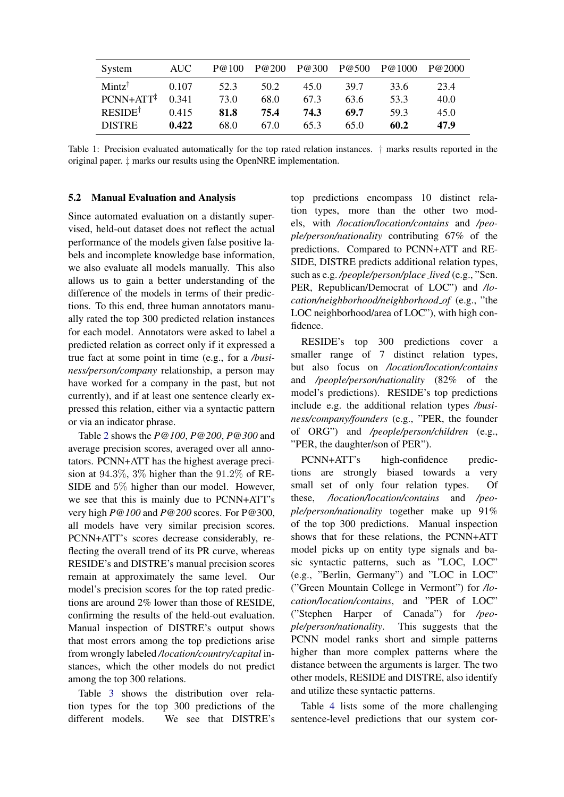<span id="page-5-1"></span>

| System                | AUC - | P@100 | P@200 | P@300 | P@500 | P@1000 | P@2000 |
|-----------------------|-------|-------|-------|-------|-------|--------|--------|
| Mintz <sup>†</sup>    | 0.107 | 52.3  | 50.2  | 45.0  | 39.7  | 33.6   | 23.4   |
| $PCNN+ATT^{\ddagger}$ | 0.341 | 73.0  | 68.0  | 67.3  | 63.6  | 53.3   | 40.0   |
| <b>RESIDET</b>        | 0.415 | 81.8  | 75.4  | 74.3  | 69.7  | 59.3   | 45.0   |
| <b>DISTRE</b>         | 0.422 | 68.0  | 67.0  | 65.3  | 65.0  | 60.2   | 47.9   |

Table 1: Precision evaluated automatically for the top rated relation instances. † marks results reported in the original paper. ‡ marks our results using the OpenNRE implementation.

### <span id="page-5-0"></span>5.2 Manual Evaluation and Analysis

Since automated evaluation on a distantly supervised, held-out dataset does not reflect the actual performance of the models given false positive labels and incomplete knowledge base information, we also evaluate all models manually. This also allows us to gain a better understanding of the difference of the models in terms of their predictions. To this end, three human annotators manually rated the top 300 predicted relation instances for each model. Annotators were asked to label a predicted relation as correct only if it expressed a true fact at some point in time (e.g., for a */business/person/company* relationship, a person may have worked for a company in the past, but not currently), and if at least one sentence clearly expressed this relation, either via a syntactic pattern or via an indicator phrase.

Table [2](#page-6-0) shows the *P@100*, *P@200*, *P@300* and average precision scores, averaged over all annotators. PCNN+ATT has the highest average precision at 94.3%, 3% higher than the 91.2% of RE-SIDE and 5% higher than our model. However, we see that this is mainly due to PCNN+ATT's very high *P@100* and *P@200* scores. For P@300, all models have very similar precision scores. PCNN+ATT's scores decrease considerably, reflecting the overall trend of its PR curve, whereas RESIDE's and DISTRE's manual precision scores remain at approximately the same level. Our model's precision scores for the top rated predictions are around 2% lower than those of RESIDE, confirming the results of the held-out evaluation. Manual inspection of DISTRE's output shows that most errors among the top predictions arise from wrongly labeled */location/country/capital* instances, which the other models do not predict among the top 300 relations.

Table [3](#page-6-1) shows the distribution over relation types for the top 300 predictions of the different models. We see that DISTRE's

top predictions encompass 10 distinct relation types, more than the other two models, with */location/location/contains* and */people/person/nationality* contributing 67% of the predictions. Compared to PCNN+ATT and RE-SIDE, DISTRE predicts additional relation types, such as e.g. */people/person/place lived* (e.g., "Sen. PER, Republican/Democrat of LOC") and */location/neighborhood/neighborhood of* (e.g., "the LOC neighborhood/area of LOC"), with high confidence.

RESIDE's top 300 predictions cover a smaller range of 7 distinct relation types, but also focus on */location/location/contains* and */people/person/nationality* (82% of the model's predictions). RESIDE's top predictions include e.g. the additional relation types */business/company/founders* (e.g., "PER, the founder of ORG") and */people/person/children* (e.g., "PER, the daughter/son of PER").

PCNN+ATT's high-confidence predictions are strongly biased towards a very small set of only four relation types. Of these, */location/location/contains* and */people/person/nationality* together make up 91% of the top 300 predictions. Manual inspection shows that for these relations, the PCNN+ATT model picks up on entity type signals and basic syntactic patterns, such as "LOC, LOC" (e.g., "Berlin, Germany") and "LOC in LOC" ("Green Mountain College in Vermont") for */location/location/contains*, and "PER of LOC" ("Stephen Harper of Canada") for */people/person/nationality*. This suggests that the PCNN model ranks short and simple patterns higher than more complex patterns where the distance between the arguments is larger. The two other models, RESIDE and DISTRE, also identify and utilize these syntactic patterns.

Table [4](#page-7-0) lists some of the more challenging sentence-level predictions that our system cor-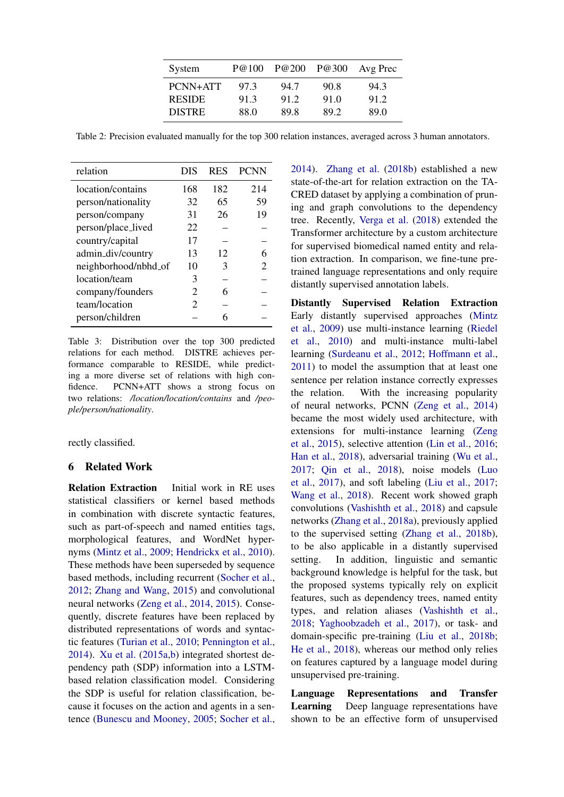| System        | P@100 | P@200 | P@300 | Avg Prec |
|---------------|-------|-------|-------|----------|
| PCNN+ATT      | 97.3  | 94.7  | 90.8  | 94.3     |
| <b>RESIDE</b> | 91.3  | 91.2  | 91.0  | 91.2     |
| <b>DISTRE</b> | 88.0  | 89.8  | 89.2  | 89.0     |

<span id="page-6-0"></span>Table 2: Precision evaluated manually for the top 300 relation instances, averaged across 3 human annotators.

<span id="page-6-1"></span>

| relation             | DIS                         | <b>RES</b> | <b>PCNN</b>           |
|----------------------|-----------------------------|------------|-----------------------|
| location/contains    | 168                         | 182        | 214                   |
| person/nationality   | 32                          | 65         | 59                    |
| person/company       | 31                          | 26         | 19                    |
| person/place_lived   | 22                          |            |                       |
| country/capital      | 17                          |            |                       |
| admin_div/country    | 13                          | 12         |                       |
| neighborhood/nbhd_of | 10                          | 3          | $\mathcal{D}_{\cdot}$ |
| location/team        | 3                           |            |                       |
| company/founders     | $\mathcal{D}_{\cdot}$       | 6          |                       |
| team/location        | $\mathcal{D}_{\mathcal{L}}$ |            |                       |
| person/children      |                             | 6          |                       |

Table 3: Distribution over the top 300 predicted relations for each method. DISTRE achieves performance comparable to RESIDE, while predicting a more diverse set of relations with high confidence. PCNN+ATT shows a strong focus on two relations: */location/location/contains* and */people/person/nationality*.

rectly classified.

# 6 Related Work

Relation Extraction Initial work in RE uses statistical classifiers or kernel based methods in combination with discrete syntactic features, such as part-of-speech and named entities tags, morphological features, and WordNet hypernyms [\(Mintz et al.,](#page-8-1) [2009;](#page-8-1) [Hendrickx et al.,](#page-8-10) [2010\)](#page-8-10). These methods have been superseded by sequence based methods, including recurrent [\(Socher et al.,](#page-9-10) [2012;](#page-9-10) [Zhang and Wang,](#page-10-3) [2015\)](#page-10-3) and convolutional neural networks [\(Zeng et al.,](#page-10-0) [2014,](#page-10-0) [2015\)](#page-10-4). Consequently, discrete features have been replaced by distributed representations of words and syntactic features [\(Turian et al.,](#page-9-11) [2010;](#page-9-11) [Pennington et al.,](#page-8-11) [2014\)](#page-8-11). [Xu et al.](#page-9-12) [\(2015a](#page-9-12)[,b\)](#page-9-13) integrated shortest dependency path (SDP) information into a LSTMbased relation classification model. Considering the SDP is useful for relation classification, because it focuses on the action and agents in a sentence [\(Bunescu and Mooney,](#page-8-12) [2005;](#page-8-12) [Socher et al.,](#page-9-14)

[2014\)](#page-9-14). [Zhang et al.](#page-10-1) [\(2018b\)](#page-10-1) established a new state-of-the-art for relation extraction on the TA-CRED dataset by applying a combination of pruning and graph convolutions to the dependency tree. Recently, [Verga et al.](#page-9-15) [\(2018\)](#page-9-15) extended the Transformer architecture by a custom architecture for supervised biomedical named entity and relation extraction. In comparison, we fine-tune pretrained language representations and only require distantly supervised annotation labels.

Distantly Supervised Relation Extraction Early distantly supervised approaches [\(Mintz](#page-8-1) [et al.,](#page-8-1) [2009\)](#page-8-1) use multi-instance learning [\(Riedel](#page-9-9) [et al.,](#page-9-9) [2010\)](#page-9-9) and multi-instance multi-label learning [\(Surdeanu et al.,](#page-9-2) [2012;](#page-9-2) [Hoffmann et al.,](#page-8-2) [2011\)](#page-8-2) to model the assumption that at least one sentence per relation instance correctly expresses the relation. With the increasing popularity of neural networks, PCNN [\(Zeng et al.,](#page-10-0) [2014\)](#page-10-0) became the most widely used architecture, with extensions for multi-instance learning [\(Zeng](#page-10-4) [et al.,](#page-10-4) [2015\)](#page-10-4), selective attention [\(Lin et al.,](#page-8-5) [2016;](#page-8-5) [Han et al.,](#page-8-13) [2018\)](#page-8-13), adversarial training [\(Wu et al.,](#page-9-16) [2017;](#page-9-16) [Qin et al.,](#page-9-17) [2018\)](#page-9-17), noise models [\(Luo](#page-8-14) [et al.,](#page-8-14) [2017\)](#page-8-14), and soft labeling [\(Liu et al.,](#page-8-15) [2017;](#page-8-15) [Wang et al.,](#page-9-18) [2018\)](#page-9-18). Recent work showed graph convolutions [\(Vashishth et al.,](#page-9-3) [2018\)](#page-9-3) and capsule networks [\(Zhang et al.,](#page-10-5) [2018a\)](#page-10-5), previously applied to the supervised setting [\(Zhang et al.,](#page-10-1) [2018b\)](#page-10-1), to be also applicable in a distantly supervised setting. In addition, linguistic and semantic background knowledge is helpful for the task, but the proposed systems typically rely on explicit features, such as dependency trees, named entity types, and relation aliases [\(Vashishth et al.,](#page-9-3) [2018;](#page-9-3) [Yaghoobzadeh et al.,](#page-9-19) [2017\)](#page-9-19), or task- and domain-specific pre-training [\(Liu et al.,](#page-8-16) [2018b;](#page-8-16) [He et al.,](#page-8-17) [2018\)](#page-8-17), whereas our method only relies on features captured by a language model during unsupervised pre-training.

Language Representations and Transfer Learning Deep language representations have shown to be an effective form of unsupervised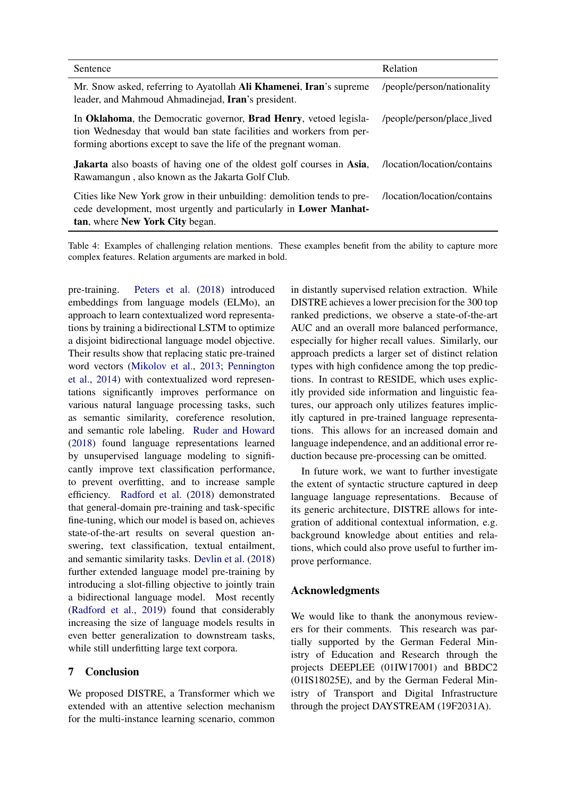<span id="page-7-0"></span>

| Sentence                                                                                                                                                                                                      | Relation                    |
|---------------------------------------------------------------------------------------------------------------------------------------------------------------------------------------------------------------|-----------------------------|
| Mr. Snow asked, referring to Ayatollah Ali Khamenei, Iran's supreme<br>leader, and Mahmoud Ahmadinejad, Iran's president.                                                                                     | /people/person/nationality  |
| In Oklahoma, the Democratic governor, Brad Henry, vetoed legisla-<br>tion Wednesday that would ban state facilities and workers from per-<br>forming abortions except to save the life of the pregnant woman. | /people/person/place_lived  |
| <b>Jakarta</b> also boasts of having one of the oldest golf courses in Asia,<br>Rawamangun, also known as the Jakarta Golf Club.                                                                              | /location/location/contains |
| Cities like New York grow in their unbuilding: demolition tends to pre-<br>cede development, most urgently and particularly in Lower Manhat-<br>tan, where New York City began.                               | /location/location/contains |

Table 4: Examples of challenging relation mentions. These examples benefit from the ability to capture more complex features. Relation arguments are marked in bold.

pre-training. [Peters et al.](#page-9-5) [\(2018\)](#page-9-5) introduced embeddings from language models (ELMo), an approach to learn contextualized word representations by training a bidirectional LSTM to optimize a disjoint bidirectional language model objective. Their results show that replacing static pre-trained word vectors [\(Mikolov et al.,](#page-8-18) [2013;](#page-8-18) [Pennington](#page-8-11) [et al.,](#page-8-11) [2014\)](#page-8-11) with contextualized word representations significantly improves performance on various natural language processing tasks, such as semantic similarity, coreference resolution, and semantic role labeling. [Ruder and Howard](#page-9-7) [\(2018\)](#page-9-7) found language representations learned by unsupervised language modeling to significantly improve text classification performance, to prevent overfitting, and to increase sample efficiency. [Radford et al.](#page-9-0) [\(2018\)](#page-9-0) demonstrated that general-domain pre-training and task-specific fine-tuning, which our model is based on, achieves state-of-the-art results on several question answering, text classification, textual entailment, and semantic similarity tasks. [Devlin et al.](#page-8-6) [\(2018\)](#page-8-6) further extended language model pre-training by introducing a slot-filling objective to jointly train a bidirectional language model. Most recently [\(Radford et al.,](#page-9-6) [2019\)](#page-9-6) found that considerably increasing the size of language models results in even better generalization to downstream tasks, while still underfitting large text corpora.

## 7 Conclusion

We proposed DISTRE, a Transformer which we extended with an attentive selection mechanism for the multi-instance learning scenario, common

in distantly supervised relation extraction. While DISTRE achieves a lower precision for the 300 top ranked predictions, we observe a state-of-the-art AUC and an overall more balanced performance, especially for higher recall values. Similarly, our approach predicts a larger set of distinct relation types with high confidence among the top predictions. In contrast to RESIDE, which uses explicitly provided side information and linguistic features, our approach only utilizes features implicitly captured in pre-trained language representations. This allows for an increased domain and language independence, and an additional error reduction because pre-processing can be omitted.

In future work, we want to further investigate the extent of syntactic structure captured in deep language language representations. Because of its generic architecture, DISTRE allows for integration of additional contextual information, e.g. background knowledge about entities and relations, which could also prove useful to further improve performance.

### Acknowledgments

We would like to thank the anonymous reviewers for their comments. This research was partially supported by the German Federal Ministry of Education and Research through the projects DEEPLEE (01IW17001) and BBDC2 (01IS18025E), and by the German Federal Ministry of Transport and Digital Infrastructure through the project DAYSTREAM (19F2031A).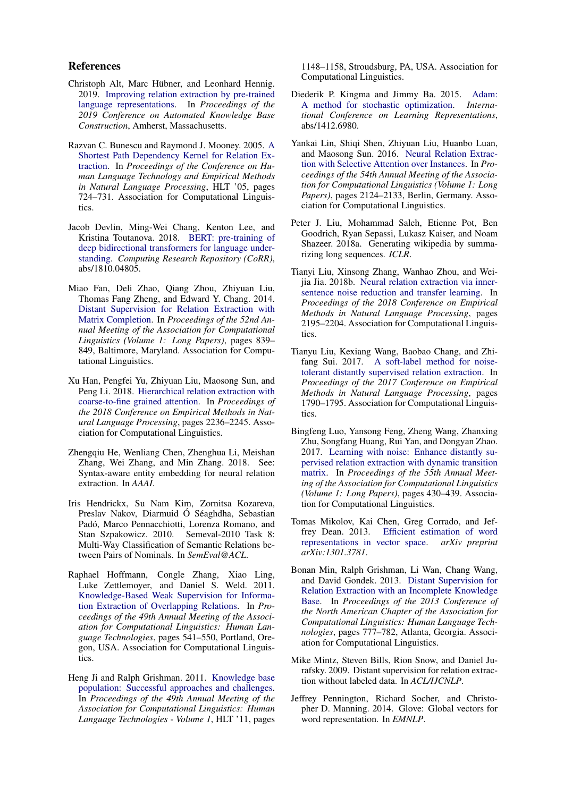#### References

- <span id="page-8-7"></span>Christoph Alt, Marc Hübner, and Leonhard Hennig. 2019. [Improving relation extraction by pre-trained](https://openreview.net/forum?id=BJgrxbqp67) [language representations.](https://openreview.net/forum?id=BJgrxbqp67) In *Proceedings of the 2019 Conference on Automated Knowledge Base Construction*, Amherst, Massachusetts.
- <span id="page-8-12"></span>Razvan C. Bunescu and Raymond J. Mooney. 2005. [A](http://dx.doi.org/10.3115/1220575.1220666) [Shortest Path Dependency Kernel for Relation Ex](http://dx.doi.org/10.3115/1220575.1220666)[traction.](http://dx.doi.org/10.3115/1220575.1220666) In *Proceedings of the Conference on Human Language Technology and Empirical Methods in Natural Language Processing*, HLT '05, pages 724–731. Association for Computational Linguistics.
- <span id="page-8-6"></span>Jacob Devlin, Ming-Wei Chang, Kenton Lee, and Kristina Toutanova. 2018. [BERT: pre-training of](http://arxiv.org/abs/1810.04805) [deep bidirectional transformers for language under](http://arxiv.org/abs/1810.04805)[standing.](http://arxiv.org/abs/1810.04805) *Computing Research Repository (CoRR)*, abs/1810.04805.
- <span id="page-8-4"></span>Miao Fan, Deli Zhao, Qiang Zhou, Zhiyuan Liu, Thomas Fang Zheng, and Edward Y. Chang. 2014. [Distant Supervision for Relation Extraction with](http://www.aclweb.org/anthology/P14-1079) [Matrix Completion.](http://www.aclweb.org/anthology/P14-1079) In *Proceedings of the 52nd Annual Meeting of the Association for Computational Linguistics (Volume 1: Long Papers)*, pages 839– 849, Baltimore, Maryland. Association for Computational Linguistics.
- <span id="page-8-13"></span>Xu Han, Pengfei Yu, Zhiyuan Liu, Maosong Sun, and Peng Li. 2018. [Hierarchical relation extraction with](http://aclweb.org/anthology/D18-1247) [coarse-to-fine grained attention.](http://aclweb.org/anthology/D18-1247) In *Proceedings of the 2018 Conference on Empirical Methods in Natural Language Processing*, pages 2236–2245. Association for Computational Linguistics.
- <span id="page-8-17"></span>Zhengqiu He, Wenliang Chen, Zhenghua Li, Meishan Zhang, Wei Zhang, and Min Zhang. 2018. See: Syntax-aware entity embedding for neural relation extraction. In *AAAI*.
- <span id="page-8-10"></span>Iris Hendrickx, Su Nam Kim, Zornitsa Kozareva, Preslav Nakov, Diarmuid Ó Séaghdha, Sebastian Padó, Marco Pennacchiotti, Lorenza Romano, and Stan Szpakowicz. 2010. Semeval-2010 Task 8: Stan Szpakowicz. 2010. Multi-Way Classification of Semantic Relations between Pairs of Nominals. In *SemEval@ACL*.
- <span id="page-8-2"></span>Raphael Hoffmann, Congle Zhang, Xiao Ling, Luke Zettlemoyer, and Daniel S. Weld. 2011. [Knowledge-Based Weak Supervision for Informa](http://www.aclweb.org/anthology/P11-1055)[tion Extraction of Overlapping Relations.](http://www.aclweb.org/anthology/P11-1055) In *Proceedings of the 49th Annual Meeting of the Association for Computational Linguistics: Human Language Technologies*, pages 541–550, Portland, Oregon, USA. Association for Computational Linguistics.
- <span id="page-8-0"></span>Heng Ji and Ralph Grishman. 2011. [Knowledge base](http://dl.acm.org/citation.cfm?id=2002472.2002618) [population: Successful approaches and challenges.](http://dl.acm.org/citation.cfm?id=2002472.2002618) In *Proceedings of the 49th Annual Meeting of the Association for Computational Linguistics: Human Language Technologies - Volume 1*, HLT '11, pages

1148–1158, Stroudsburg, PA, USA. Association for Computational Linguistics.

- <span id="page-8-9"></span>Diederik P. Kingma and Jimmy Ba. 2015. [Adam:](http://arxiv.org/abs/1412.6980) [A method for stochastic optimization.](http://arxiv.org/abs/1412.6980) *International Conference on Learning Representations*, abs/1412.6980.
- <span id="page-8-5"></span>Yankai Lin, Shiqi Shen, Zhiyuan Liu, Huanbo Luan, and Maosong Sun. 2016. [Neural Relation Extrac](http://www.aclweb.org/anthology/P16-1200)[tion with Selective Attention over Instances.](http://www.aclweb.org/anthology/P16-1200) In *Proceedings of the 54th Annual Meeting of the Association for Computational Linguistics (Volume 1: Long Papers)*, pages 2124–2133, Berlin, Germany. Association for Computational Linguistics.
- <span id="page-8-8"></span>Peter J. Liu, Mohammad Saleh, Etienne Pot, Ben Goodrich, Ryan Sepassi, Lukasz Kaiser, and Noam Shazeer. 2018a. Generating wikipedia by summarizing long sequences. *ICLR*.
- <span id="page-8-16"></span>Tianyi Liu, Xinsong Zhang, Wanhao Zhou, and Weijia Jia. 2018b. [Neural relation extraction via inner](http://aclweb.org/anthology/D18-1243)[sentence noise reduction and transfer learning.](http://aclweb.org/anthology/D18-1243) In *Proceedings of the 2018 Conference on Empirical Methods in Natural Language Processing*, pages 2195–2204. Association for Computational Linguistics.
- <span id="page-8-15"></span>Tianyu Liu, Kexiang Wang, Baobao Chang, and Zhifang Sui. 2017. [A soft-label method for noise](https://doi.org/10.18653/v1/D17-1189)[tolerant distantly supervised relation extraction.](https://doi.org/10.18653/v1/D17-1189) In *Proceedings of the 2017 Conference on Empirical Methods in Natural Language Processing*, pages 1790–1795. Association for Computational Linguistics.
- <span id="page-8-14"></span>Bingfeng Luo, Yansong Feng, Zheng Wang, Zhanxing Zhu, Songfang Huang, Rui Yan, and Dongyan Zhao. 2017. [Learning with noise: Enhance distantly su](https://doi.org/10.18653/v1/P17-1040)[pervised relation extraction with dynamic transition](https://doi.org/10.18653/v1/P17-1040) [matrix.](https://doi.org/10.18653/v1/P17-1040) In *Proceedings of the 55th Annual Meeting of the Association for Computational Linguistics (Volume 1: Long Papers)*, pages 430–439. Association for Computational Linguistics.
- <span id="page-8-18"></span>Tomas Mikolov, Kai Chen, Greg Corrado, and Jeffrey Dean. 2013. [Efficient estimation of word](https://arxiv.org/abs/1301.3781) [representations in vector space.](https://arxiv.org/abs/1301.3781) *arXiv preprint arXiv:1301.3781*.
- <span id="page-8-3"></span>Bonan Min, Ralph Grishman, Li Wan, Chang Wang, and David Gondek. 2013. [Distant Supervision for](http://www.aclweb.org/anthology/N13-1095) [Relation Extraction with an Incomplete Knowledge](http://www.aclweb.org/anthology/N13-1095) [Base.](http://www.aclweb.org/anthology/N13-1095) In *Proceedings of the 2013 Conference of the North American Chapter of the Association for Computational Linguistics: Human Language Technologies*, pages 777–782, Atlanta, Georgia. Association for Computational Linguistics.
- <span id="page-8-1"></span>Mike Mintz, Steven Bills, Rion Snow, and Daniel Jurafsky. 2009. Distant supervision for relation extraction without labeled data. In *ACL/IJCNLP*.
- <span id="page-8-11"></span>Jeffrey Pennington, Richard Socher, and Christopher D. Manning. 2014. Glove: Global vectors for word representation. In *EMNLP*.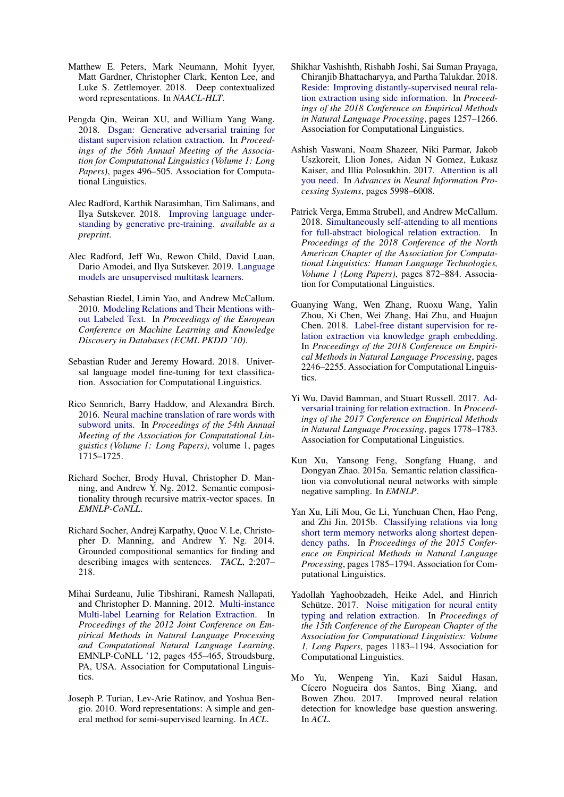- <span id="page-9-5"></span>Matthew E. Peters, Mark Neumann, Mohit Iyyer, Matt Gardner, Christopher Clark, Kenton Lee, and Luke S. Zettlemoyer. 2018. Deep contextualized word representations. In *NAACL-HLT*.
- <span id="page-9-17"></span>Pengda Qin, Weiran XU, and William Yang Wang. 2018. [Dsgan: Generative adversarial training for](http://aclweb.org/anthology/P18-1046) [distant supervision relation extraction.](http://aclweb.org/anthology/P18-1046) In *Proceedings of the 56th Annual Meeting of the Association for Computational Linguistics (Volume 1: Long Papers)*, pages 496–505. Association for Computational Linguistics.
- <span id="page-9-0"></span>Alec Radford, Karthik Narasimhan, Tim Salimans, and Ilya Sutskever. 2018. [Improving language under](https://s3-us-west-2.amazonaws.com/openai-assets/research-covers/language-unsupervised/language_understanding_paper.pdf)[standing by generative pre-training.](https://s3-us-west-2.amazonaws.com/openai-assets/research-covers/language-unsupervised/language_understanding_paper.pdf) *available as a preprint*.
- <span id="page-9-6"></span>Alec Radford, Jeff Wu, Rewon Child, David Luan, Dario Amodei, and Ilya Sutskever. 2019. [Language](https://d4mucfpksywv.cloudfront.net/better-language-models/language_models_are_unsupervised_multitask_learners.pdf) [models are unsupervised multitask learners.](https://d4mucfpksywv.cloudfront.net/better-language-models/language_models_are_unsupervised_multitask_learners.pdf)
- <span id="page-9-9"></span>Sebastian Riedel, Limin Yao, and Andrew McCallum. 2010. [Modeling Relations and Their Mentions with](http://www.riedelcastro.org//publications/papers/riedel10modeling.pdf)[out Labeled Text.](http://www.riedelcastro.org//publications/papers/riedel10modeling.pdf) In *Proceedings of the European Conference on Machine Learning and Knowledge Discovery in Databases (ECML PKDD '10)*.
- <span id="page-9-7"></span>Sebastian Ruder and Jeremy Howard. 2018. Universal language model fine-tuning for text classification. Association for Computational Linguistics.
- <span id="page-9-8"></span>Rico Sennrich, Barry Haddow, and Alexandra Birch. 2016. [Neural machine translation of rare words with](http://www.aclweb.org/anthology/P16-1162) [subword units.](http://www.aclweb.org/anthology/P16-1162) In *Proceedings of the 54th Annual Meeting of the Association for Computational Linguistics (Volume 1: Long Papers)*, volume 1, pages 1715–1725.
- <span id="page-9-10"></span>Richard Socher, Brody Huval, Christopher D. Manning, and Andrew Y. Ng. 2012. Semantic compositionality through recursive matrix-vector spaces. In *EMNLP-CoNLL*.
- <span id="page-9-14"></span>Richard Socher, Andrej Karpathy, Quoc V. Le, Christopher D. Manning, and Andrew Y. Ng. 2014. Grounded compositional semantics for finding and describing images with sentences. *TACL*, 2:207– 218.
- <span id="page-9-2"></span>Mihai Surdeanu, Julie Tibshirani, Ramesh Nallapati, and Christopher D. Manning. 2012. [Multi-instance](http://www.aclweb.org/anthology/D/D12/D12-1042.pdf) [Multi-label Learning for Relation Extraction.](http://www.aclweb.org/anthology/D/D12/D12-1042.pdf) In *Proceedings of the 2012 Joint Conference on Empirical Methods in Natural Language Processing and Computational Natural Language Learning*, EMNLP-CoNLL '12, pages 455–465, Stroudsburg, PA, USA. Association for Computational Linguistics.
- <span id="page-9-11"></span>Joseph P. Turian, Lev-Arie Ratinov, and Yoshua Bengio. 2010. Word representations: A simple and general method for semi-supervised learning. In *ACL*.
- <span id="page-9-3"></span>Shikhar Vashishth, Rishabh Joshi, Sai Suman Prayaga, Chiranjib Bhattacharyya, and Partha Talukdar. 2018. [Reside: Improving distantly-supervised neural rela](http://aclweb.org/anthology/D18-1157)[tion extraction using side information.](http://aclweb.org/anthology/D18-1157) In *Proceedings of the 2018 Conference on Empirical Methods in Natural Language Processing*, pages 1257–1266. Association for Computational Linguistics.
- <span id="page-9-4"></span>Ashish Vaswani, Noam Shazeer, Niki Parmar, Jakob Uszkoreit, Llion Jones, Aidan N Gomez, Łukasz Kaiser, and Illia Polosukhin. 2017. [Attention is all](https://papers.nips.cc/paper/7181-attention-is-all-you-need.pdf) [you need.](https://papers.nips.cc/paper/7181-attention-is-all-you-need.pdf) In *Advances in Neural Information Processing Systems*, pages 5998–6008.
- <span id="page-9-15"></span>Patrick Verga, Emma Strubell, and Andrew McCallum. 2018. [Simultaneously self-attending to all mentions](http://aclweb.org/anthology/N18-1080) [for full-abstract biological relation extraction.](http://aclweb.org/anthology/N18-1080) In *Proceedings of the 2018 Conference of the North American Chapter of the Association for Computational Linguistics: Human Language Technologies, Volume 1 (Long Papers)*, pages 872–884. Association for Computational Linguistics.
- <span id="page-9-18"></span>Guanying Wang, Wen Zhang, Ruoxu Wang, Yalin Zhou, Xi Chen, Wei Zhang, Hai Zhu, and Huajun Chen. 2018. [Label-free distant supervision for re](http://aclweb.org/anthology/D18-1248)[lation extraction via knowledge graph embedding.](http://aclweb.org/anthology/D18-1248) In *Proceedings of the 2018 Conference on Empirical Methods in Natural Language Processing*, pages 2246–2255. Association for Computational Linguistics.
- <span id="page-9-16"></span>Yi Wu, David Bamman, and Stuart Russell. 2017. [Ad](https://doi.org/10.18653/v1/D17-1187)[versarial training for relation extraction.](https://doi.org/10.18653/v1/D17-1187) In *Proceedings of the 2017 Conference on Empirical Methods in Natural Language Processing*, pages 1778–1783. Association for Computational Linguistics.
- <span id="page-9-12"></span>Kun Xu, Yansong Feng, Songfang Huang, and Dongyan Zhao. 2015a. Semantic relation classification via convolutional neural networks with simple negative sampling. In *EMNLP*.
- <span id="page-9-13"></span>Yan Xu, Lili Mou, Ge Li, Yunchuan Chen, Hao Peng, and Zhi Jin. 2015b. [Classifying relations via long](https://doi.org/10.18653/v1/D15-1206) [short term memory networks along shortest depen](https://doi.org/10.18653/v1/D15-1206)[dency paths.](https://doi.org/10.18653/v1/D15-1206) In *Proceedings of the 2015 Conference on Empirical Methods in Natural Language Processing*, pages 1785–1794. Association for Computational Linguistics.
- <span id="page-9-19"></span>Yadollah Yaghoobzadeh, Heike Adel, and Hinrich Schütze. 2017. [Noise mitigation for neural entity](http://aclweb.org/anthology/E17-1111) [typing and relation extraction.](http://aclweb.org/anthology/E17-1111) In *Proceedings of the 15th Conference of the European Chapter of the Association for Computational Linguistics: Volume 1, Long Papers*, pages 1183–1194. Association for Computational Linguistics.
- <span id="page-9-1"></span>Mo Yu, Wenpeng Yin, Kazi Saidul Hasan, Cícero Nogueira dos Santos, Bing Xiang, and<br>Bowen Zhou. 2017. Improved neural relation Improved neural relation detection for knowledge base question answering. In *ACL*.